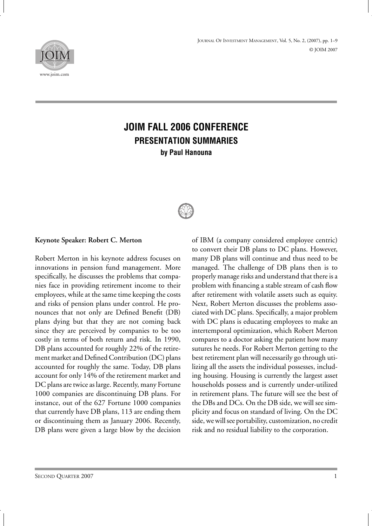

# **JOIM FALL 2006 CONFERENCE PRESENTATION SUMMARIES by Paul Hanouna**



#### **Keynote Speaker: Robert C. Merton**

Robert Merton in his keynote address focuses on innovations in pension fund management. More specifically, he discusses the problems that companies face in providing retirement income to their employees, while at the same time keeping the costs and risks of pension plans under control. He pronounces that not only are Defined Benefit (DB) plans dying but that they are not coming back since they are perceived by companies to be too costly in terms of both return and risk. In 1990, DB plans accounted for roughly 22% of the retirement market and Defined Contribution (DC) plans accounted for roughly the same. Today, DB plans account for only 14% of the retirement market and DC plans are twice as large. Recently, many Fortune 1000 companies are discontinuing DB plans. For instance, out of the 627 Fortune 1000 companies that currently have DB plans, 113 are ending them or discontinuing them as January 2006. Recently, DB plans were given a large blow by the decision of IBM (a company considered employee centric) to convert their DB plans to DC plans. However, many DB plans will continue and thus need to be managed. The challenge of DB plans then is to properly manage risks and understand that there is a problem with financing a stable stream of cash flow after retirement with volatile assets such as equity. Next, Robert Merton discusses the problems associated with DC plans. Specifically, a major problem with DC plans is educating employees to make an intertemporal optimization, which Robert Merton compares to a doctor asking the patient how many sutures he needs. For Robert Merton getting to the best retirement plan will necessarily go through utilizing all the assets the individual possesses, including housing. Housing is currently the largest asset households possess and is currently under-utilized in retirement plans. The future will see the best of the DBs and DCs. On the DB side, we will see simplicity and focus on standard of living. On the DC side, we will see portability, customization, no credit risk and no residual liability to the corporation.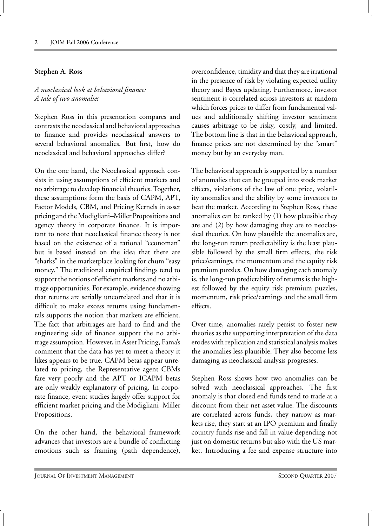#### **Stephen A. Ross**

*A neoclassical look at behavioral finance: A tale of two anomalies*

Stephen Ross in this presentation compares and contrasts the neoclassical and behavioral approaches to finance and provides neoclassical answers to several behavioral anomalies. But first, how do neoclassical and behavioral approaches differ?

On the one hand, the Neoclassical approach consists in using assumptions of efficient markets and no arbitrage to develop financial theories. Together, these assumptions form the basis of CAPM, APT, Factor Models, CBM, and Pricing Kernels in asset pricing and theModigliani–Miller Propositions and agency theory in corporate finance. It is important to note that neoclassical finance theory is not based on the existence of a rational "economan" but is based instead on the idea that there are "sharks" in the marketplace looking for chum "easy money." The traditional empirical findings tend to support the notions of efficient markets and no arbitrage opportunities. For example, evidence showing that returns are serially uncorrelated and that it is difficult to make excess returns using fundamentals supports the notion that markets are efficient. The fact that arbitrages are hard to find and the engineering side of finance support the no arbitrage assumption. However, in Asset Pricing, Fama's comment that the data has yet to meet a theory it likes appears to be true. CAPM betas appear unrelated to pricing, the Representative agent CBMs fare very poorly and the APT or ICAPM betas are only weakly explanatory of pricing. In corporate finance, event studies largely offer support for efficient market pricing and the Modigliani–Miller Propositions.

On the other hand, the behavioral framework advances that investors are a bundle of conflicting emotions such as framing (path dependence),

overconfidence, timidity and that they are irrational in the presence of risk by violating expected utility theory and Bayes updating. Furthermore, investor sentiment is correlated across investors at random which forces prices to differ from fundamental values and additionally shifting investor sentiment causes arbitrage to be risky, costly, and limited. The bottom line is that in the behavioral approach, finance prices are not determined by the "smart" money but by an everyday man.

The behavioral approach is supported by a number of anomalies that can be grouped into stock market effects, violations of the law of one price, volatility anomalies and the ability by some investors to beat the market. According to Stephen Ross, these anomalies can be ranked by (1) how plausible they are and (2) by how damaging they are to neoclassical theories. On how plausible the anomalies are, the long-run return predictability is the least plausible followed by the small firm effects, the risk price/earnings, the momentum and the equity risk premium puzzles. On how damaging each anomaly is, the long-run predictability of returns is the highest followed by the equity risk premium puzzles, momentum, risk price/earnings and the small firm effects.

Over time, anomalies rarely persist to foster new theories as the supporting interpretation of the data erodes with replication and statistical analysis makes the anomalies less plausible. They also become less damaging as neoclassical analysis progresses.

Stephen Ross shows how two anomalies can be solved with neoclassical approaches. The first anomaly is that closed end funds tend to trade at a discount from their net asset value. The discounts are correlated across funds, they narrow as markets rise, they start at an IPO premium and finally country funds rise and fall in value depending not just on domestic returns but also with the US market. Introducing a fee and expense structure into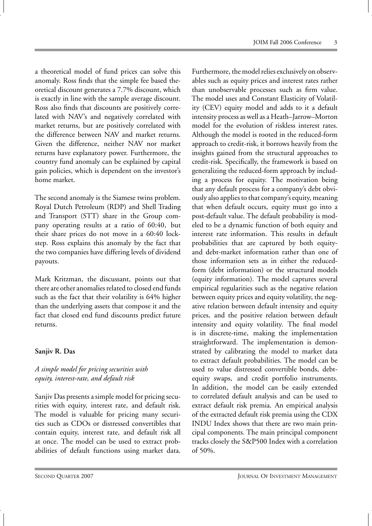a theoretical model of fund prices can solve this anomaly. Ross finds that the simple fee based theoretical discount generates a 7.7% discount, which is exactly in line with the sample average discount. Ross also finds that discounts are positively correlated with NAV's and negatively correlated with market returns, but are positively correlated with the difference between NAV and market returns. Given the difference, neither NAV nor market returns have explanatory power. Furthermore, the country fund anomaly can be explained by capital gain policies, which is dependent on the investor's home market.

The second anomaly is the Siamese twins problem. Royal Dutch Petroleum (RDP) and Shell Trading and Transport (STT) share in the Group company operating results at a ratio of 60:40, but their share prices do not move in a 60:40 lockstep. Ross explains this anomaly by the fact that the two companies have differing levels of dividend payouts.

Mark Kritzman, the discussant, points out that there are other anomalies related to closed end funds such as the fact that their volatility is 64% higher than the underlying assets that compose it and the fact that closed end fund discounts predict future returns.

# **Sanjiv R. Das**

# *A simple model for pricing securities with equity, interest-rate, and default risk*

Sanjiv Das presents a simple model for pricing securities with equity, interest rate, and default risk. The model is valuable for pricing many securities such as CDOs or distressed convertibles that contain equity, interest rate, and default risk all at once. The model can be used to extract probabilities of default functions using market data.

Furthermore, the model relies exclusively on observables such as equity prices and interest rates rather than unobservable processes such as firm value. The model uses and Constant Elasticity of Volatility (CEV) equity model and adds to it a default intensity process as well as a Heath–Jarrow–Morton model for the evolution of riskless interest rates. Although the model is rooted in the reduced-form approach to credit-risk, it borrows heavily from the insights gained from the structural approaches to credit-risk. Specifically, the framework is based on generalizing the reduced-form approach by including a process for equity. The motivation being that any default process for a company's debt obviously also applies to that company's equity, meaning that when default occurs, equity must go into a post-default value. The default probability is modeled to be a dynamic function of both equity and interest rate information. This results in default probabilities that are captured by both equityand debt-market information rather than one of those information sets as in either the reducedform (debt information) or the structural models (equity information). The model captures several empirical regularities such as the negative relation between equity prices and equity volatility, the negative relation between default intensity and equity prices, and the positive relation between default intensity and equity volatility. The final model is in discrete-time, making the implementation straightforward. The implementation is demonstrated by calibrating the model to market data to extract default probabilities. The model can be used to value distressed convertible bonds, debtequity swaps, and credit portfolio instruments. In addition, the model can be easily extended to correlated default analysis and can be used to extract default risk premia. An empirical analysis of the extracted default risk premia using the CDX INDU Index shows that there are two main principal components. The main principal component tracks closely the S&P500 Index with a correlation of 50%.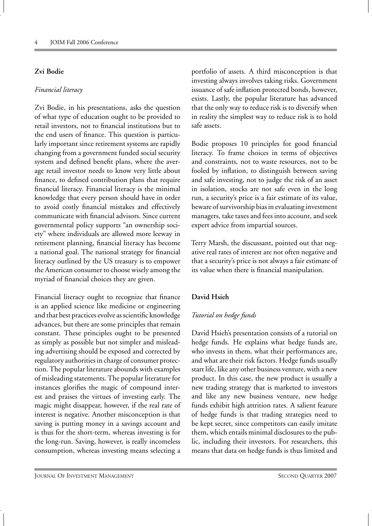#### **Zvi Bodie**

#### *Financial literacy*

Zvi Bodie, in his presentations, asks the question of what type of education ought to be provided to retail investors, not to financial institutions but to the end users of finance. This question is particularly important since retirement systems are rapidly changing from a government funded social security system and defined benefit plans, where the average retail investor needs to know very little about finance, to defined contribution plans that require financial literacy. Financial literacy is the minimal knowledge that every person should have in order to avoid costly financial mistakes and effectively communicate with financial advisors. Since current governmental policy supports "an ownership society" where individuals are allowed more leeway in retirement planning, financial literacy has become a national goal. The national strategy for financial literacy outlined by the US treasury is to empower the American consumer to choose wisely among the myriad of financial choices they are given.

Financial literacy ought to recognize that finance is an applied science like medicine or engineering and that best practices evolve as scientific knowledge advances, but there are some principles that remain constant. These principles ought to be presented as simply as possible but not simpler and misleading advertising should be exposed and corrected by regulatory authorities in charge of consumer protection. The popular literature abounds with examples of misleading statements. The popular literature for instances glorifies the magic of compound interest and praises the virtues of investing early. The magic might disappear, however, if the real rate of interest is negative. Another misconception is that saving is putting money in a savings account and is thus for the short-term, whereas investing is for the long-run. Saving, however, is really incomeless consumption, whereas investing means selecting a

portfolio of assets. A third misconception is that investing always involves taking risks. Government issuance of safe inflation protected bonds, however, exists. Lastly, the popular literature has advanced that the only way to reduce risk is to diversify when in reality the simplest way to reduce risk is to hold safe assets.

Bodie proposes 10 principles for good financial literacy. To frame choices in terms of objectives and constraints, not to waste resources, not to be fooled by inflation, to distinguish between saving and safe investing, not to judge the risk of an asset in isolation, stocks are not safe even in the long run, a security's price is a fair estimate of its value, beware of survivorship bias in evaluating investment managers, take taxes and fees into account, and seek expert advice from impartial sources.

Terry Marsh, the discussant, pointed out that negative real rates of interest are not often negative and that a security's price is not always a fair estimate of its value when there is financial manipulation.

# **David Hsieh**

# *Tutorial on hedge funds*

David Hsieh's presentation consists of a tutorial on hedge funds. He explains what hedge funds are, who invests in them, what their performances are, and what are their risk factors. Hedge funds usually start life, like any other business venture, with a new product. In this case, the new product is usually a new trading strategy that is marketed to investors and like any new business venture, new hedge funds exhibit high attrition rates. A salient feature of hedge funds is that trading strategies need to be kept secret, since competitors can easily imitate them, which entails minimal disclosures to the public, including their investors. For researchers, this means that data on hedge funds is thus limited and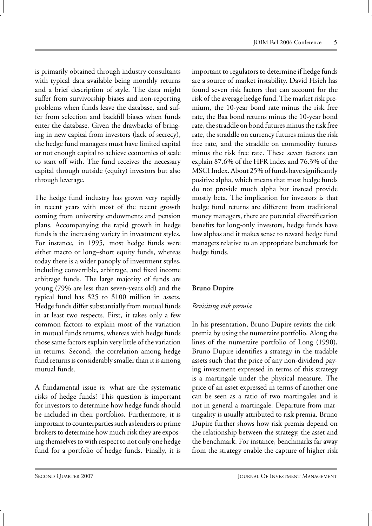is primarily obtained through industry consultants with typical data available being monthly returns and a brief description of style. The data might suffer from survivorship biases and non-reporting problems when funds leave the database, and suffer from selection and backfill biases when funds enter the database. Given the drawbacks of bringing in new capital from investors (lack of secrecy), the hedge fund managers must have limited capital or not enough capital to achieve economies of scale to start off with. The fund receives the necessary capital through outside (equity) investors but also through leverage.

The hedge fund industry has grown very rapidly in recent years with most of the recent growth coming from university endowments and pension plans. Accompanying the rapid growth in hedge funds is the increasing variety in investment styles. For instance, in 1995, most hedge funds were either macro or long–short equity funds, whereas today there is a wider panoply of investment styles, including convertible, arbitrage, and fixed income arbitrage funds. The large majority of funds are young (79% are less than seven-years old) and the typical fund has \$25 to \$100 million in assets. Hedge funds differ substantially from mutual funds in at least two respects. First, it takes only a few common factors to explain most of the variation in mutual funds returns, whereas with hedge funds those same factors explain very little of the variation in returns. Second, the correlation among hedge fund returns is considerably smaller than it is among mutual funds.

A fundamental issue is: what are the systematic risks of hedge funds? This question is important for investors to determine how hedge funds should be included in their portfolios. Furthermore, it is important to counterparties such as lenders or prime brokers to determine how much risk they are exposing themselves to with respect to not only one hedge fund for a portfolio of hedge funds. Finally, it is important to regulators to determine if hedge funds are a source of market instability. David Hsieh has found seven risk factors that can account for the risk of the average hedge fund. The market risk premium, the 10-year bond rate minus the risk free rate, the Baa bond returns minus the 10-year bond rate, the straddle on bond futures minus the risk free rate, the straddle on currency futures minus the risk free rate, and the straddle on commodity futures minus the risk free rate. These seven factors can explain 87.6% of the HFR Index and 76.3% of the MSCI Index. About 25% offunds have significantly positive alpha, which means that most hedge funds do not provide much alpha but instead provide mostly beta. The implication for investors is that hedge fund returns are different from traditional money managers, there are potential diversification benefits for long-only investors, hedge funds have low alphas and it makes sense to reward hedge fund managers relative to an appropriate benchmark for hedge funds.

# **Bruno Dupire**

# *Revisiting risk premia*

In his presentation, Bruno Dupire revists the riskpremia by using the numeraire portfolio. Along the lines of the numeraire portfolio of Long (1990), Bruno Dupire identifies a strategy in the tradable assets such that the price of any non-dividend paying investment expressed in terms of this strategy is a martingale under the physical measure. The price of an asset expressed in terms of another one can be seen as a ratio of two martingales and is not in general a martingale. Departure from martingality is usually attributed to risk premia. Bruno Dupire further shows how risk premia depend on the relationship between the strategy, the asset and the benchmark. For instance, benchmarks far away from the strategy enable the capture of higher risk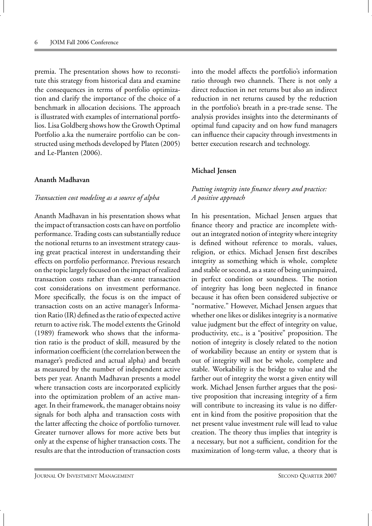premia. The presentation shows how to reconstitute this strategy from historical data and examine the consequences in terms of portfolio optimization and clarify the importance of the choice of a benchmark in allocation decisions. The approach is illustrated with examples of international portfolios. Lisa Goldberg shows how the Growth Optimal Portfolio a.ka the numeraire portfolio can be constructed using methods developed by Platen (2005) and Le-Planten (2006).

#### **Ananth Madhavan**

#### *Transaction cost modeling as a source of alpha*

Ananth Madhavan in his presentation shows what the impact of transaction costs can have on portfolio performance. Trading costs can substantially reduce the notional returns to an investment strategy causing great practical interest in understanding their effects on portfolio performance. Previous research on the topic largely focused on the impact of realized transaction costs rather than ex-ante transaction cost considerations on investment performance. More specifically, the focus is on the impact of transaction costs on an active manager's Information Ratio (IR) defined as the ratio of expected active return to active risk. The model extents the Grinold (1989) framework who shows that the information ratio is the product of skill, measured by the information coefficient (the correlation between the manager's predicted and actual alpha) and breath as measured by the number of independent active bets per year. Ananth Madhavan presents a model where transaction costs are incorporated explicitly into the optimization problem of an active manager. In their framework, the manager obtains noisy signals for both alpha and transaction costs with the latter affecting the choice of portfolio turnover. Greater turnover allows for more active bets but only at the expense of higher transaction costs. The results are that the introduction of transaction costs into the model affects the portfolio's information ratio through two channels. There is not only a direct reduction in net returns but also an indirect reduction in net returns caused by the reduction in the portfolio's breath in a pre-trade sense. The analysis provides insights into the determinants of optimal fund capacity and on how fund managers can influence their capacity through investments in better execution research and technology.

#### **Michael Jensen**

# *Putting integrity into finance theory and practice: A positive approach*

In his presentation, Michael Jensen argues that finance theory and practice are incomplete without an integrated notion of integrity where integrity is defined without reference to morals, values, religion, or ethics. Michael Jensen first describes integrity as something which is whole, complete and stable or second, as a state of being unimpaired, in perfect condition or soundness. The notion of integrity has long been neglected in finance because it has often been considered subjective or "normative." However, Michael Jensen argues that whether one likes or dislikes integrity is a normative value judgment but the effect of integrity on value, productivity, etc., is a "positive" proposition. The notion of integrity is closely related to the notion of workability because an entity or system that is out of integrity will not be whole, complete and stable. Workability is the bridge to value and the farther out of integrity the worst a given entity will work. Michael Jensen further argues that the positive proposition that increasing integrity of a firm will contribute to increasing its value is no different in kind from the positive proposition that the net present value investment rule will lead to value creation. The theory thus implies that integrity is a necessary, but not a sufficient, condition for the maximization of long-term value, a theory that is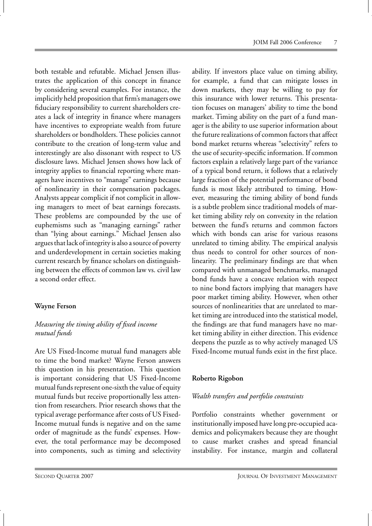both testable and refutable. Michael Jensen illustrates the application of this concept in finance by considering several examples. For instance, the implicitly held proposition that firm's managers owe fiduciary responsibility to current shareholders creates a lack of integrity in finance where managers have incentives to expropriate wealth from future shareholders or bondholders. These policies cannot contribute to the creation of long-term value and interestingly are also dissonant with respect to US disclosure laws. Michael Jensen shows how lack of integrity applies to financial reporting where managers have incentives to "manage" earnings because of nonlinearity in their compensation packages. Analysts appear complicit if not complicit in allowing managers to meet of beat earnings forecasts. These problems are compounded by the use of euphemisms such as "managing earnings" rather than "lying about earnings." Michael Jensen also argues that lack of integrity is also a source of poverty and underdevelopment in certain societies making current research by finance scholars on distinguishing between the effects of common law vs. civil law a second order effect.

#### **Wayne Ferson**

# *Measuring the timing ability of fixed income mutual funds*

Are US Fixed-Income mutual fund managers able to time the bond market? Wayne Ferson answers this question in his presentation. This question is important considering that US Fixed-Income mutual funds represent one-sixth the value of equity mutual funds but receive proportionally less attention from researchers. Prior research shows that the typical average performance after costs of US Fixed-Income mutual funds is negative and on the same order of magnitude as the funds' expenses. However, the total performance may be decomposed into components, such as timing and selectivity ability. If investors place value on timing ability, for example, a fund that can mitigate losses in down markets, they may be willing to pay for this insurance with lower returns. This presentation focuses on managers' ability to time the bond market. Timing ability on the part of a fund manager is the ability to use superior information about the future realizations of common factors that affect bond market returns whereas "selectivity" refers to the use of security-specific information. If common factors explain a relatively large part of the variance of a typical bond return, it follows that a relatively large fraction of the potential performance of bond funds is most likely attributed to timing. However, measuring the timing ability of bond funds is a subtle problem since traditional models of market timing ability rely on convexity in the relation between the fund's returns and common factors which with bonds can arise for various reasons unrelated to timing ability. The empirical analysis thus needs to control for other sources of nonlinearity. The preliminary findings are that when compared with unmanaged benchmarks, managed bond funds have a concave relation with respect to nine bond factors implying that managers have poor market timing ability. However, when other sources of nonlinearities that are unrelated to market timing are introduced into the statistical model, the findings are that fund managers have no market timing ability in either direction. This evidence deepens the puzzle as to why actively managed US Fixed-Income mutual funds exist in the first place.

# **Roberto Rigobon**

#### *Wealth transfers and portfolio constraints*

Portfolio constraints whether government or institutionally imposed have long pre-occupied academics and policymakers because they are thought to cause market crashes and spread financial instability. For instance, margin and collateral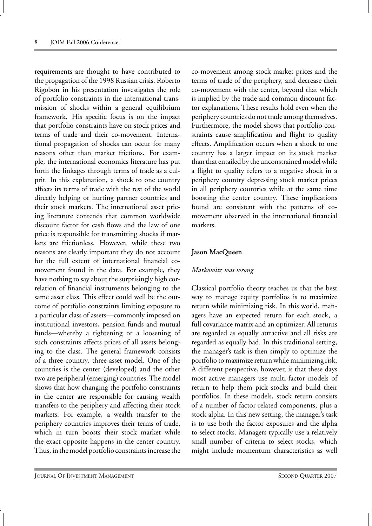requirements are thought to have contributed to the propagation of the 1998 Russian crisis. Roberto Rigobon in his presentation investigates the role of portfolio constraints in the international transmission of shocks within a general equilibrium framework. His specific focus is on the impact that portfolio constraints have on stock prices and terms of trade and their co-movement. International propagation of shocks can occur for many reasons other than market frictions. For example, the international economics literature has put forth the linkages through terms of trade as a culprit. In this explanation, a shock to one country affects its terms of trade with the rest of the world directly helping or hurting partner countries and their stock markets. The international asset pricing literature contends that common worldwide discount factor for cash flows and the law of one price is responsible for transmitting shocks if markets are frictionless. However, while these two reasons are clearly important they do not account for the full extent of international financial comovement found in the data. For example, they have nothing to say about the surprisingly high correlation of financial instruments belonging to the same asset class. This effect could well be the outcome of portfolio constraints limiting exposure to a particular class of assets—commonly imposed on institutional investors, pension funds and mutual funds—whereby a tightening or a loosening of such constraints affects prices of all assets belonging to the class. The general framework consists of a three country, three-asset model. One of the countries is the center (developed) and the other two are peripheral (emerging) countries. The model shows that how changing the portfolio constraints in the center are responsible for causing wealth transfers to the periphery and affecting their stock markets. For example, a wealth transfer to the periphery countries improves their terms of trade, which in turn boosts their stock market while the exact opposite happens in the center country. Thus, in the model portfolio constraints increase the co-movement among stock market prices and the terms of trade of the periphery, and decrease their co-movement with the center, beyond that which is implied by the trade and common discount factor explanations. These results hold even when the periphery countries do not trade among themselves. Furthermore, the model shows that portfolio constraints cause amplification and flight to quality effects. Amplification occurs when a shock to one country has a larger impact on its stock market than that entailed by the unconstrained model while a flight to quality refers to a negative shock in a periphery country depressing stock market prices in all periphery countries while at the same time boosting the center country. These implications found are consistent with the patterns of comovement observed in the international financial markets.

#### **Jason MacQueen**

#### *Markowitz was wrong*

Classical portfolio theory teaches us that the best way to manage equity portfolios is to maximize return while minimizing risk. In this world, managers have an expected return for each stock, a full covariance matrix and an optimizer. All returns are regarded as equally attractive and all risks are regarded as equally bad. In this traditional setting, the manager's task is then simply to optimize the portfolio to maximize return while minimizing risk. A different perspective, however, is that these days most active managers use multi-factor models of return to help them pick stocks and build their portfolios. In these models, stock return consists of a number of factor-related components, plus a stock alpha. In this new setting, the manager's task is to use both the factor exposures and the alpha to select stocks. Managers typically use a relatively small number of criteria to select stocks, which might include momentum characteristics as well